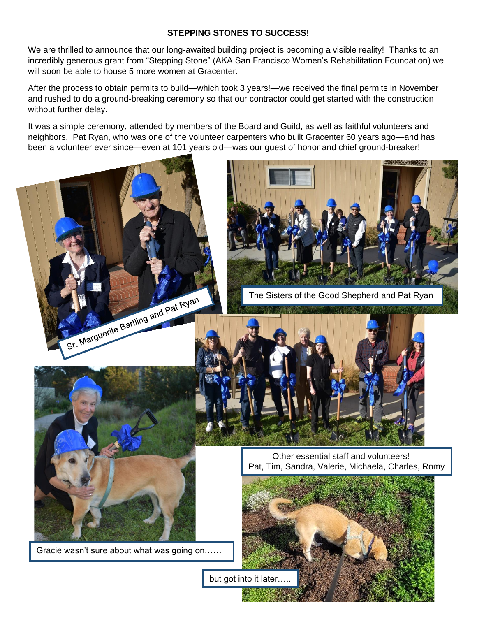## **STEPPING STONES TO SUCCESS!**

We are thrilled to announce that our long-awaited building project is becoming a visible reality! Thanks to an incredibly generous grant from "Stepping Stone" (AKA San Francisco Women's Rehabilitation Foundation) we will soon be able to house 5 more women at Gracenter.

After the process to obtain permits to build—which took 3 years!—we received the final permits in November and rushed to do a ground-breaking ceremony so that our contractor could get started with the construction without further delay.

It was a simple ceremony, attended by members of the Board and Guild, as well as faithful volunteers and neighbors. Pat Ryan, who was one of the volunteer carpenters who built Gracenter 60 years ago—and has been a volunteer ever since—even at 101 years old—was our guest of honor and chief ground-breaker!